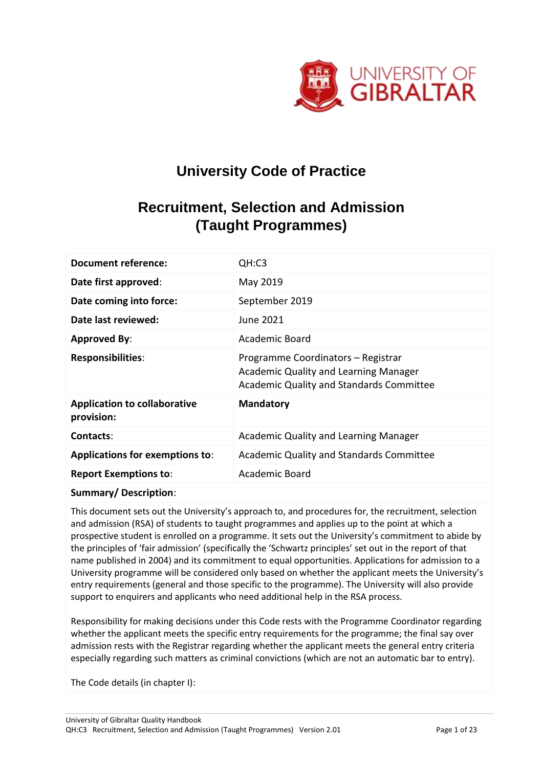

# **University Code of Practice**

## **Recruitment, Selection and Admission (Taught Programmes)**

| <b>Document reference:</b>                        | QH:C3                                                                                                                   |
|---------------------------------------------------|-------------------------------------------------------------------------------------------------------------------------|
| Date first approved:                              | May 2019                                                                                                                |
| Date coming into force:                           | September 2019                                                                                                          |
| Date last reviewed:                               | June 2021                                                                                                               |
| <b>Approved By:</b>                               | Academic Board                                                                                                          |
| <b>Responsibilities:</b>                          | Programme Coordinators - Registrar<br>Academic Quality and Learning Manager<br>Academic Quality and Standards Committee |
| <b>Application to collaborative</b><br>provision: | <b>Mandatory</b>                                                                                                        |
| Contacts:                                         | Academic Quality and Learning Manager                                                                                   |
| <b>Applications for exemptions to:</b>            | Academic Quality and Standards Committee                                                                                |
| <b>Report Exemptions to:</b>                      | Academic Board                                                                                                          |

#### **Summary/ Description**:

This document sets out the University's approach to, and procedures for, the recruitment, selection and admission (RSA) of students to taught programmes and applies up to the point at which a prospective student is enrolled on a programme. It sets out the University's commitment to abide by the principles of 'fair admission' (specifically the 'Schwartz principles' set out in the report of that name published in 2004) and its commitment to equal opportunities. Applications for admission to a University programme will be considered only based on whether the applicant meets the University's entry requirements (general and those specific to the programme). The University will also provide support to enquirers and applicants who need additional help in the RSA process.

Responsibility for making decisions under this Code rests with the Programme Coordinator regarding whether the applicant meets the specific entry requirements for the programme; the final say over admission rests with the Registrar regarding whether the applicant meets the general entry criteria especially regarding such matters as criminal convictions (which are not an automatic bar to entry).

The Code details (in chapter I):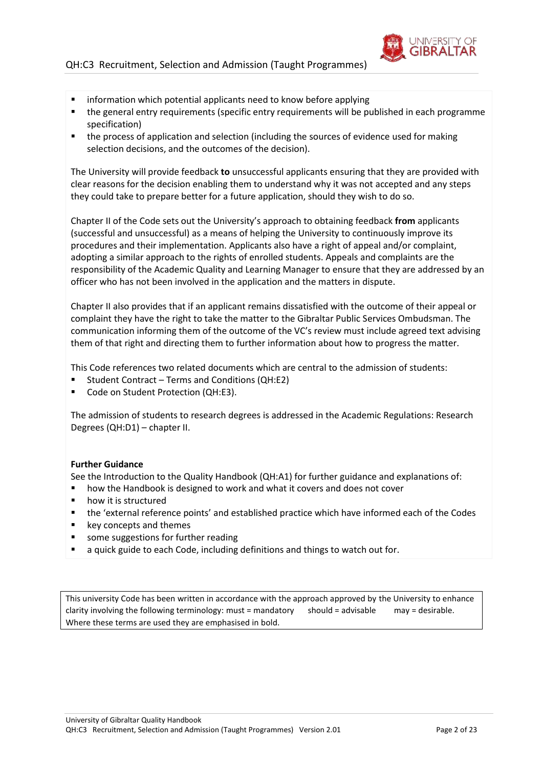

- information which potential applicants need to know before applying
- the general entry requirements (specific entry requirements will be published in each programme specification)
- the process of application and selection (including the sources of evidence used for making selection decisions, and the outcomes of the decision).

The University will provide feedback **to** unsuccessful applicants ensuring that they are provided with clear reasons for the decision enabling them to understand why it was not accepted and any steps they could take to prepare better for a future application, should they wish to do so.

Chapter II of the Code sets out the University's approach to obtaining feedback **from** applicants (successful and unsuccessful) as a means of helping the University to continuously improve its procedures and their implementation. Applicants also have a right of appeal and/or complaint, adopting a similar approach to the rights of enrolled students. Appeals and complaints are the responsibility of the Academic Quality and Learning Manager to ensure that they are addressed by an officer who has not been involved in the application and the matters in dispute.

Chapter II also provides that if an applicant remains dissatisfied with the outcome of their appeal or complaint they have the right to take the matter to the Gibraltar Public Services Ombudsman. The communication informing them of the outcome of the VC's review must include agreed text advising them of that right and directing them to further information about how to progress the matter.

This Code references two related documents which are central to the admission of students:

- Student Contract Terms and Conditions (QH:E2)
- Code on Student Protection (QH:E3).

The admission of students to research degrees is addressed in the Academic Regulations: Research Degrees (QH:D1) – chapter II.

#### **Further Guidance**

See the Introduction to the Quality Handbook (QH:A1) for further guidance and explanations of:

- **•** how the Handbook is designed to work and what it covers and does not cover
- **•** how it is structured
- the 'external reference points' and established practice which have informed each of the Codes
- key concepts and themes
- **some suggestions for further reading**
- a quick guide to each Code, including definitions and things to watch out for.

This university Code has been written in accordance with the approach approved by the University to enhance clarity involving the following terminology: must = mandatory should = advisable may = desirable. Where these terms are used they are emphasised in bold.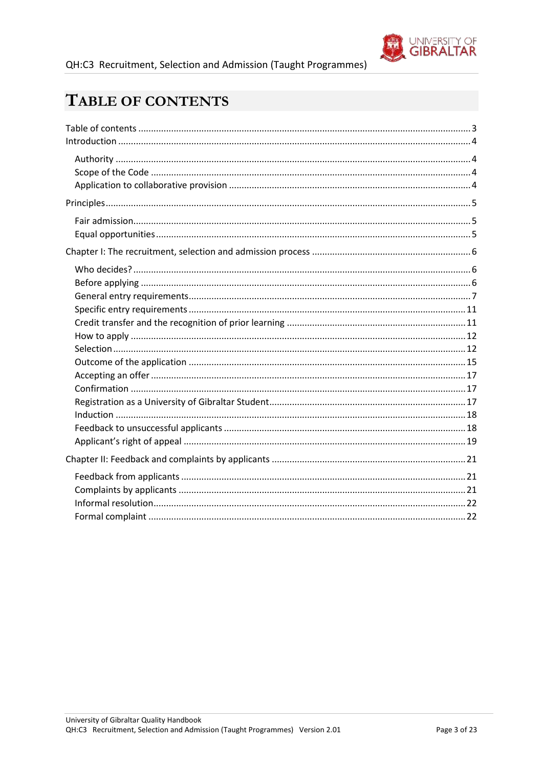

# <span id="page-2-0"></span>TABLE OF CONTENTS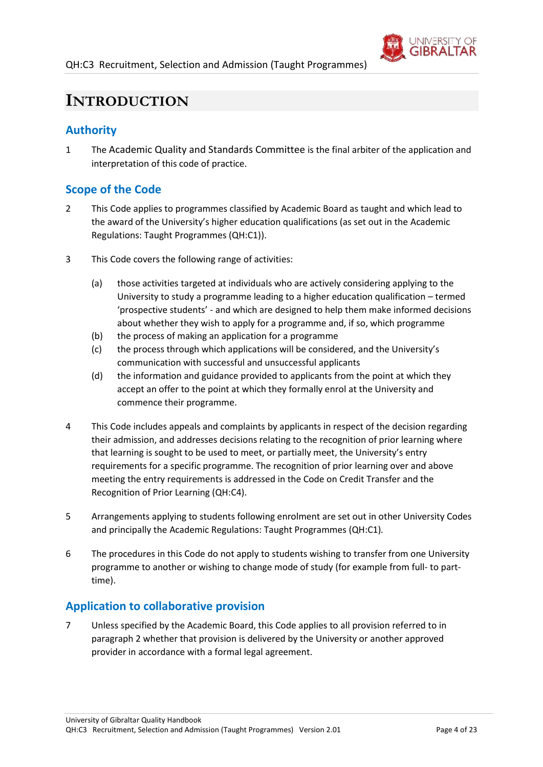

## <span id="page-3-0"></span>**INTRODUCTION**

## <span id="page-3-1"></span>**Authority**

1 The Academic Quality and Standards Committee is the final arbiter of the application and interpretation of this code of practice.

## <span id="page-3-2"></span>**Scope of the Code**

- <span id="page-3-4"></span>2 This Code applies to programmes classified by Academic Board as taught and which lead to the award of the University's higher education qualifications (as set out in the Academic Regulations: Taught Programmes (QH:C1)).
- 3 This Code covers the following range of activities:
	- (a) those activities targeted at individuals who are actively considering applying to the University to study a programme leading to a higher education qualification – termed 'prospective students' - and which are designed to help them make informed decisions about whether they wish to apply for a programme and, if so, which programme
	- (b) the process of making an application for a programme
	- (c) the process through which applications will be considered, and the University's communication with successful and unsuccessful applicants
	- (d) the information and guidance provided to applicants from the point at which they accept an offer to the point at which they formally enrol at the University and commence their programme.
- 4 This Code includes appeals and complaints by applicants in respect of the decision regarding their admission, and addresses decisions relating to the recognition of prior learning where that learning is sought to be used to meet, or partially meet, the University's entry requirements for a specific programme. The recognition of prior learning over and above meeting the entry requirements is addressed in the Code on Credit Transfer and the Recognition of Prior Learning (QH:C4).
- 5 Arrangements applying to students following enrolment are set out in other University Codes and principally the Academic Regulations: Taught Programmes (QH:C1)*.*
- 6 The procedures in this Code do not apply to students wishing to transfer from one University programme to another or wishing to change mode of study (for example from full- to parttime).

## <span id="page-3-3"></span>**Application to collaborative provision**

7 Unless specified by the Academic Board, this Code applies to all provision referred to in paragraph [2](#page-3-4) whether that provision is delivered by the University or another approved provider in accordance with a formal legal agreement.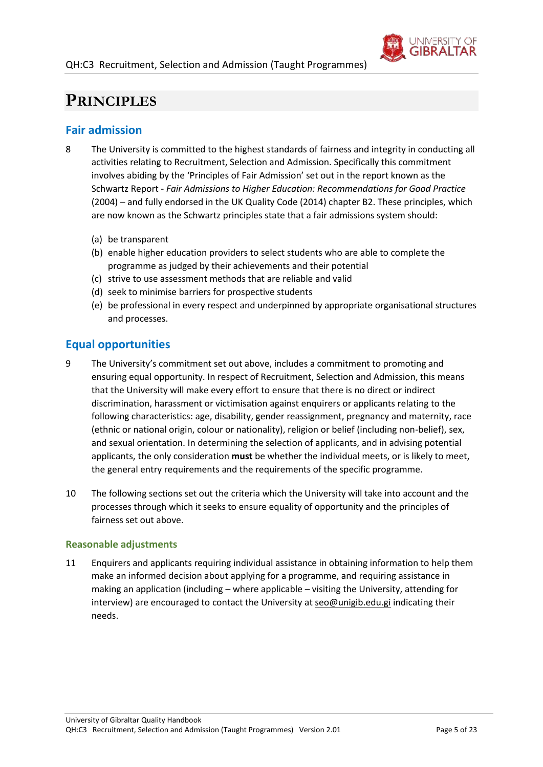

## <span id="page-4-0"></span>**PRINCIPLES**

## <span id="page-4-1"></span>**Fair admission**

- 8 The University is committed to the highest standards of fairness and integrity in conducting all activities relating to Recruitment, Selection and Admission. Specifically this commitment involves abiding by the 'Principles of Fair Admission' set out in the report known as the Schwartz Report - *Fair Admissions to Higher Education: Recommendations for Good Practice* (2004) – and fully endorsed in the UK Quality Code (2014) chapter B2. These principles, which are now known as the Schwartz principles state that a fair admissions system should:
	- (a) be transparent
	- (b) enable higher education providers to select students who are able to complete the programme as judged by their achievements and their potential
	- (c) strive to use assessment methods that are reliable and valid
	- (d) seek to minimise barriers for prospective students
	- (e) be professional in every respect and underpinned by appropriate organisational structures and processes.

## <span id="page-4-2"></span>**Equal opportunities**

- 9 The University's commitment set out above, includes a commitment to promoting and ensuring equal opportunity. In respect of Recruitment, Selection and Admission, this means that the University will make every effort to ensure that there is no direct or indirect discrimination, harassment or victimisation against enquirers or applicants relating to the following characteristics: age, disability, gender reassignment, pregnancy and maternity, race (ethnic or national origin, colour or nationality), religion or belief (including non-belief), sex, and sexual orientation. In determining the selection of applicants, and in advising potential applicants, the only consideration **must** be whether the individual meets, or is likely to meet, the general entry requirements and the requirements of the specific programme.
- 10 The following sections set out the criteria which the University will take into account and the processes through which it seeks to ensure equality of opportunity and the principles of fairness set out above.

#### **Reasonable adjustments**

11 Enquirers and applicants requiring individual assistance in obtaining information to help them make an informed decision about applying for a programme, and requiring assistance in making an application (including – where applicable – visiting the University, attending for interview) are encouraged to contact the University a[t seo@unigib.edu.gi](mailto:seo@unigib.edu.gi) indicating their needs.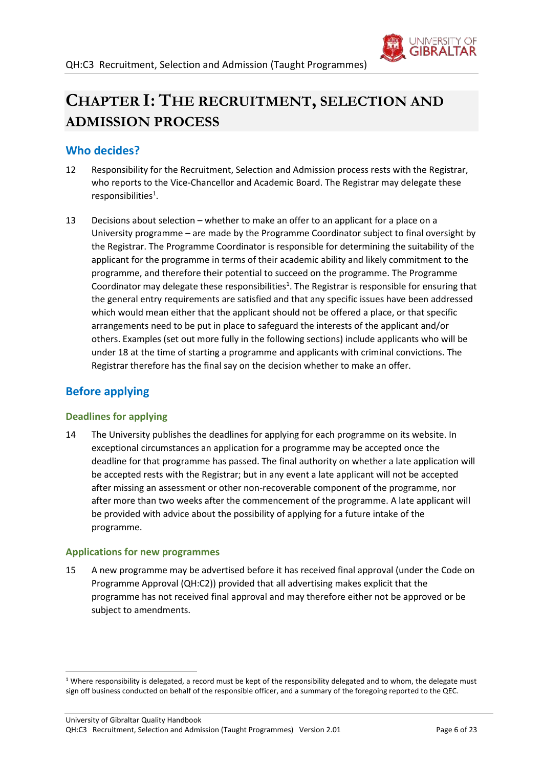

# <span id="page-5-0"></span>**CHAPTER I: THE RECRUITMENT, SELECTION AND ADMISSION PROCESS**

## <span id="page-5-1"></span>**Who decides?**

- 12 Responsibility for the Recruitment, Selection and Admission process rests with the Registrar, who reports to the Vice-Chancellor and Academic Board. The Registrar may delegate these  $responsibilities<sup>1</sup>.$
- 13 Decisions about selection whether to make an offer to an applicant for a place on a University programme – are made by the Programme Coordinator subject to final oversight by the Registrar. The Programme Coordinator is responsible for determining the suitability of the applicant for the programme in terms of their academic ability and likely commitment to the programme, and therefore their potential to succeed on the programme. The Programme Coordinator may delegate these responsibilities<sup>1</sup>. The Registrar is responsible for ensuring that the general entry requirements are satisfied and that any specific issues have been addressed which would mean either that the applicant should not be offered a place, or that specific arrangements need to be put in place to safeguard the interests of the applicant and/or others. Examples (set out more fully in the following sections) include applicants who will be under 18 at the time of starting a programme and applicants with criminal convictions. The Registrar therefore has the final say on the decision whether to make an offer.

## <span id="page-5-2"></span>**Before applying**

1

#### **Deadlines for applying**

14 The University publishes the deadlines for applying for each programme on its website. In exceptional circumstances an application for a programme may be accepted once the deadline for that programme has passed. The final authority on whether a late application will be accepted rests with the Registrar; but in any event a late applicant will not be accepted after missing an assessment or other non-recoverable component of the programme, nor after more than two weeks after the commencement of the programme. A late applicant will be provided with advice about the possibility of applying for a future intake of the programme.

#### **Applications for new programmes**

15 A new programme may be advertised before it has received final approval (under the Code on Programme Approval (QH:C2)) provided that all advertising makes explicit that the programme has not received final approval and may therefore either not be approved or be subject to amendments.

<sup>&</sup>lt;sup>1</sup> Where responsibility is delegated, a record must be kept of the responsibility delegated and to whom, the delegate must sign off business conducted on behalf of the responsible officer, and a summary of the foregoing reported to the QEC.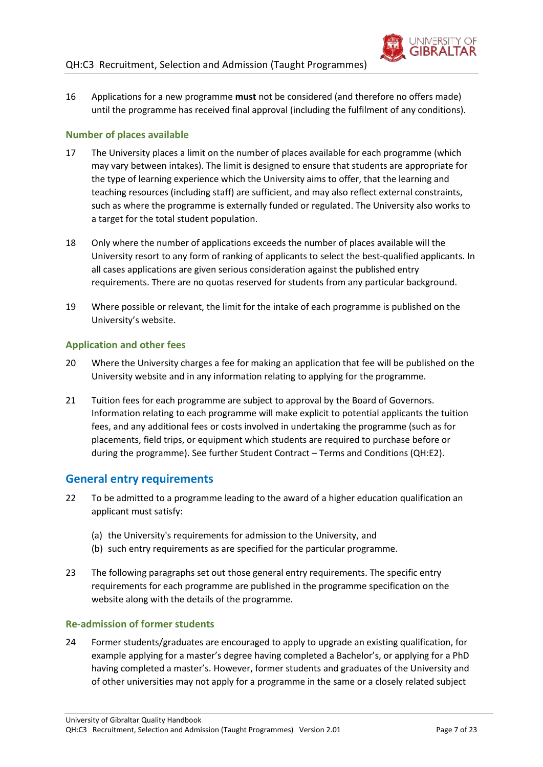

16 Applications for a new programme **must** not be considered (and therefore no offers made) until the programme has received final approval (including the fulfilment of any conditions).

#### **Number of places available**

- 17 The University places a limit on the number of places available for each programme (which may vary between intakes). The limit is designed to ensure that students are appropriate for the type of learning experience which the University aims to offer, that the learning and teaching resources (including staff) are sufficient, and may also reflect external constraints, such as where the programme is externally funded or regulated. The University also works to a target for the total student population.
- 18 Only where the number of applications exceeds the number of places available will the University resort to any form of ranking of applicants to select the best-qualified applicants. In all cases applications are given serious consideration against the published entry requirements. There are no quotas reserved for students from any particular background.
- 19 Where possible or relevant, the limit for the intake of each programme is published on the University's website.

#### **Application and other fees**

- 20 Where the University charges a fee for making an application that fee will be published on the University website and in any information relating to applying for the programme.
- 21 Tuition fees for each programme are subject to approval by the Board of Governors. Information relating to each programme will make explicit to potential applicants the tuition fees, and any additional fees or costs involved in undertaking the programme (such as for placements, field trips, or equipment which students are required to purchase before or during the programme). See further Student Contract – Terms and Conditions (QH:E2).

## <span id="page-6-0"></span>**General entry requirements**

- 22 To be admitted to a programme leading to the award of a higher education qualification an applicant must satisfy:
	- (a) the University's requirements for admission to the University, and
	- (b) such entry requirements as are specified for the particular programme.
- 23 The following paragraphs set out those general entry requirements. The specific entry requirements for each programme are published in the programme specification on the website along with the details of the programme.

#### **Re-admission of former students**

24 Former students/graduates are encouraged to apply to upgrade an existing qualification, for example applying for a master's degree having completed a Bachelor's, or applying for a PhD having completed a master's. However, former students and graduates of the University and of other universities may not apply for a programme in the same or a closely related subject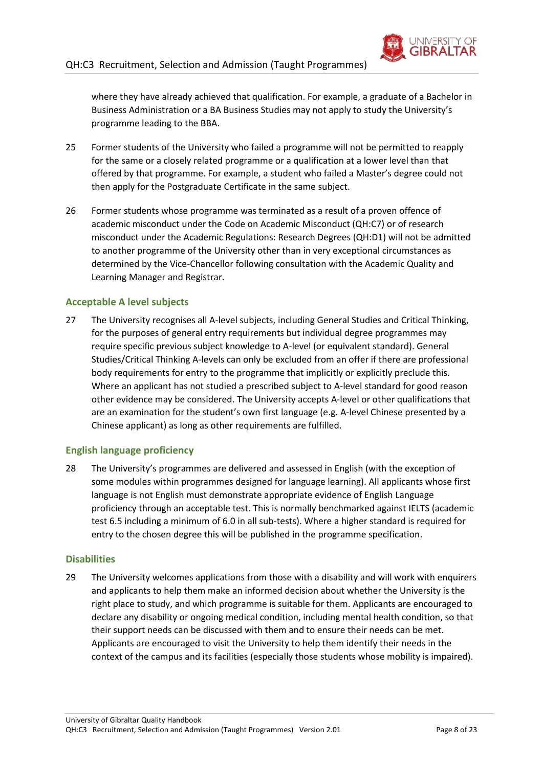

where they have already achieved that qualification. For example, a graduate of a Bachelor in Business Administration or a BA Business Studies may not apply to study the University's programme leading to the BBA.

- 25 Former students of the University who failed a programme will not be permitted to reapply for the same or a closely related programme or a qualification at a lower level than that offered by that programme. For example, a student who failed a Master's degree could not then apply for the Postgraduate Certificate in the same subject.
- 26 Former students whose programme was terminated as a result of a proven offence of academic misconduct under the Code on Academic Misconduct (QH:C7) or of research misconduct under the Academic Regulations: Research Degrees (QH:D1) will not be admitted to another programme of the University other than in very exceptional circumstances as determined by the Vice-Chancellor following consultation with the Academic Quality and Learning Manager and Registrar.

#### **Acceptable A level subjects**

27 The University recognises all A-level subjects, including General Studies and Critical Thinking, for the purposes of general entry requirements but individual degree programmes may require specific previous subject knowledge to A-level (or equivalent standard). General Studies/Critical Thinking A-levels can only be excluded from an offer if there are professional body requirements for entry to the programme that implicitly or explicitly preclude this. Where an applicant has not studied a prescribed subject to A-level standard for good reason other evidence may be considered. The University accepts A-level or other qualifications that are an examination for the student's own first language (e.g. A-level Chinese presented by a Chinese applicant) as long as other requirements are fulfilled.

#### **English language proficiency**

28 The University's programmes are delivered and assessed in English (with the exception of some modules within programmes designed for language learning). All applicants whose first language is not English must demonstrate appropriate evidence of English Language proficiency through an acceptable test. This is normally benchmarked against IELTS (academic test 6.5 including a minimum of 6.0 in all sub-tests). Where a higher standard is required for entry to the chosen degree this will be published in the programme specification.

#### **Disabilities**

29 The University welcomes applications from those with a disability and will work with enquirers and applicants to help them make an informed decision about whether the University is the right place to study, and which programme is suitable for them. Applicants are encouraged to declare any disability or ongoing medical condition, including mental health condition, so that their support needs can be discussed with them and to ensure their needs can be met. Applicants are encouraged to visit the University to help them identify their needs in the context of the campus and its facilities (especially those students whose mobility is impaired).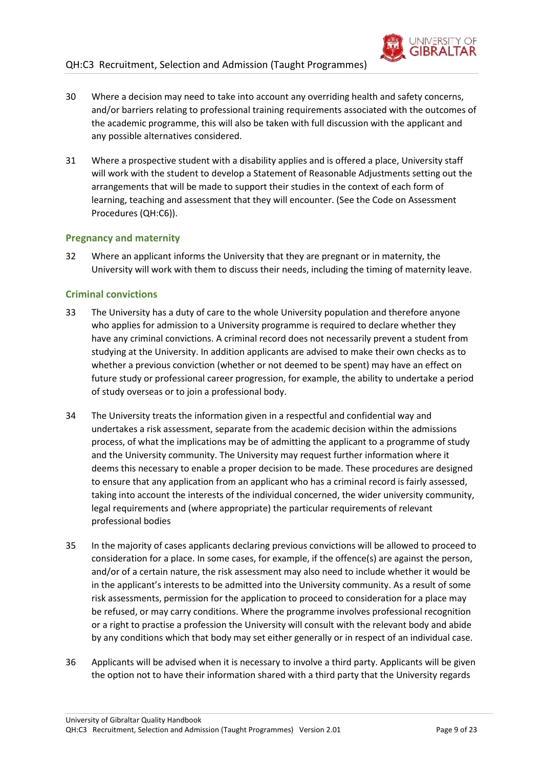

- 30 Where a decision may need to take into account any overriding health and safety concerns, and/or barriers relating to professional training requirements associated with the outcomes of the academic programme, this will also be taken with full discussion with the applicant and any possible alternatives considered.
- 31 Where a prospective student with a disability applies and is offered a place, University staff will work with the student to develop a Statement of Reasonable Adjustments setting out the arrangements that will be made to support their studies in the context of each form of learning, teaching and assessment that they will encounter. (See the Code on Assessment Procedures (QH:C6)).

#### **Pregnancy and maternity**

32 Where an applicant informs the University that they are pregnant or in maternity, the University will work with them to discuss their needs, including the timing of maternity leave.

#### **Criminal convictions**

- 33 The University has a duty of care to the whole University population and therefore anyone who applies for admission to a University programme is required to declare whether they have any criminal convictions. A criminal record does not necessarily prevent a student from studying at the University. In addition applicants are advised to make their own checks as to whether a previous conviction (whether or not deemed to be spent) may have an effect on future study or professional career progression, for example, the ability to undertake a period of study overseas or to join a professional body.
- 34 The University treats the information given in a respectful and confidential way and undertakes a risk assessment, separate from the academic decision within the admissions process, of what the implications may be of admitting the applicant to a programme of study and the University community. The University may request further information where it deems this necessary to enable a proper decision to be made. These procedures are designed to ensure that any application from an applicant who has a criminal record is fairly assessed, taking into account the interests of the individual concerned, the wider university community, legal requirements and (where appropriate) the particular requirements of relevant professional bodies
- 35 In the majority of cases applicants declaring previous convictions will be allowed to proceed to consideration for a place. In some cases, for example, if the offence(s) are against the person, and/or of a certain nature, the risk assessment may also need to include whether it would be in the applicant's interests to be admitted into the University community. As a result of some risk assessments, permission for the application to proceed to consideration for a place may be refused, or may carry conditions. Where the programme involves professional recognition or a right to practise a profession the University will consult with the relevant body and abide by any conditions which that body may set either generally or in respect of an individual case.
- 36 Applicants will be advised when it is necessary to involve a third party. Applicants will be given the option not to have their information shared with a third party that the University regards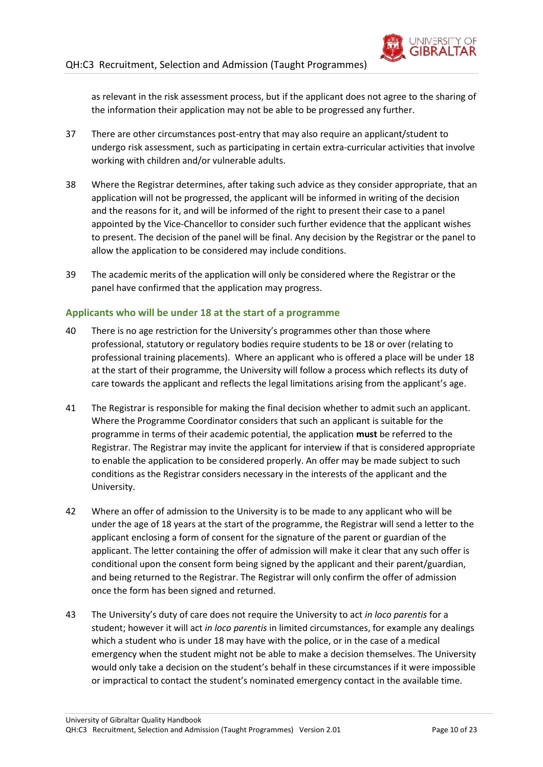

as relevant in the risk assessment process, but if the applicant does not agree to the sharing of the information their application may not be able to be progressed any further.

- 37 There are other circumstances post-entry that may also require an applicant/student to undergo risk assessment, such as participating in certain extra-curricular activities that involve working with children and/or vulnerable adults.
- 38 Where the Registrar determines, after taking such advice as they consider appropriate, that an application will not be progressed, the applicant will be informed in writing of the decision and the reasons for it, and will be informed of the right to present their case to a panel appointed by the Vice-Chancellor to consider such further evidence that the applicant wishes to present. The decision of the panel will be final. Any decision by the Registrar or the panel to allow the application to be considered may include conditions.
- 39 The academic merits of the application will only be considered where the Registrar or the panel have confirmed that the application may progress.

#### **Applicants who will be under 18 at the start of a programme**

- <span id="page-9-0"></span>40 There is no age restriction for the University's programmes other than those where professional, statutory or regulatory bodies require students to be 18 or over (relating to professional training placements). Where an applicant who is offered a place will be under 18 at the start of their programme, the University will follow a process which reflects its duty of care towards the applicant and reflects the legal limitations arising from the applicant's age.
- 41 The Registrar is responsible for making the final decision whether to admit such an applicant. Where the Programme Coordinator considers that such an applicant is suitable for the programme in terms of their academic potential, the application **must** be referred to the Registrar. The Registrar may invite the applicant for interview if that is considered appropriate to enable the application to be considered properly. An offer may be made subject to such conditions as the Registrar considers necessary in the interests of the applicant and the University.
- 42 Where an offer of admission to the University is to be made to any applicant who will be under the age of 18 years at the start of the programme, the Registrar will send a letter to the applicant enclosing a form of consent for the signature of the parent or guardian of the applicant. The letter containing the offer of admission will make it clear that any such offer is conditional upon the consent form being signed by the applicant and their parent/guardian, and being returned to the Registrar. The Registrar will only confirm the offer of admission once the form has been signed and returned.
- 43 The University's duty of care does not require the University to act *in loco parentis* for a student; however it will act *in loco parentis* in limited circumstances, for example any dealings which a student who is under 18 may have with the police, or in the case of a medical emergency when the student might not be able to make a decision themselves. The University would only take a decision on the student's behalf in these circumstances if it were impossible or impractical to contact the student's nominated emergency contact in the available time.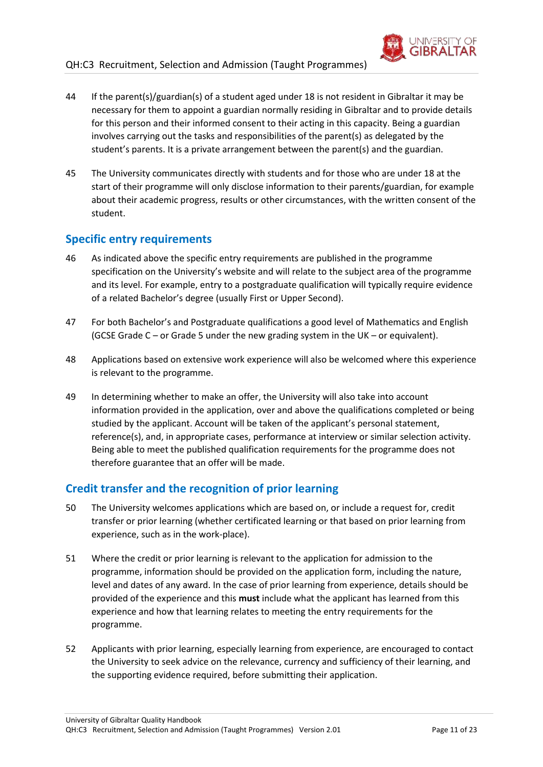

- 44 If the parent(s)/guardian(s) of a student aged under 18 is not resident in Gibraltar it may be necessary for them to appoint a guardian normally residing in Gibraltar and to provide details for this person and their informed consent to their acting in this capacity. Being a guardian involves carrying out the tasks and responsibilities of the parent(s) as delegated by the student's parents. It is a private arrangement between the parent(s) and the guardian.
- 45 The University communicates directly with students and for those who are under 18 at the start of their programme will only disclose information to their parents/guardian, for example about their academic progress, results or other circumstances, with the written consent of the student.

## <span id="page-10-0"></span>**Specific entry requirements**

- 46 As indicated above the specific entry requirements are published in the programme specification on the University's website and will relate to the subject area of the programme and its level. For example, entry to a postgraduate qualification will typically require evidence of a related Bachelor's degree (usually First or Upper Second).
- 47 For both Bachelor's and Postgraduate qualifications a good level of Mathematics and English (GCSE Grade C – or Grade 5 under the new grading system in the UK – or equivalent).
- 48 Applications based on extensive work experience will also be welcomed where this experience is relevant to the programme.
- 49 In determining whether to make an offer, the University will also take into account information provided in the application, over and above the qualifications completed or being studied by the applicant. Account will be taken of the applicant's personal statement, reference(s), and, in appropriate cases, performance at interview or similar selection activity. Being able to meet the published qualification requirements for the programme does not therefore guarantee that an offer will be made.

## <span id="page-10-1"></span>**Credit transfer and the recognition of prior learning**

- 50 The University welcomes applications which are based on, or include a request for, credit transfer or prior learning (whether certificated learning or that based on prior learning from experience, such as in the work-place).
- 51 Where the credit or prior learning is relevant to the application for admission to the programme, information should be provided on the application form, including the nature, level and dates of any award. In the case of prior learning from experience, details should be provided of the experience and this **must** include what the applicant has learned from this experience and how that learning relates to meeting the entry requirements for the programme.
- 52 Applicants with prior learning, especially learning from experience, are encouraged to contact the University to seek advice on the relevance, currency and sufficiency of their learning, and the supporting evidence required, before submitting their application.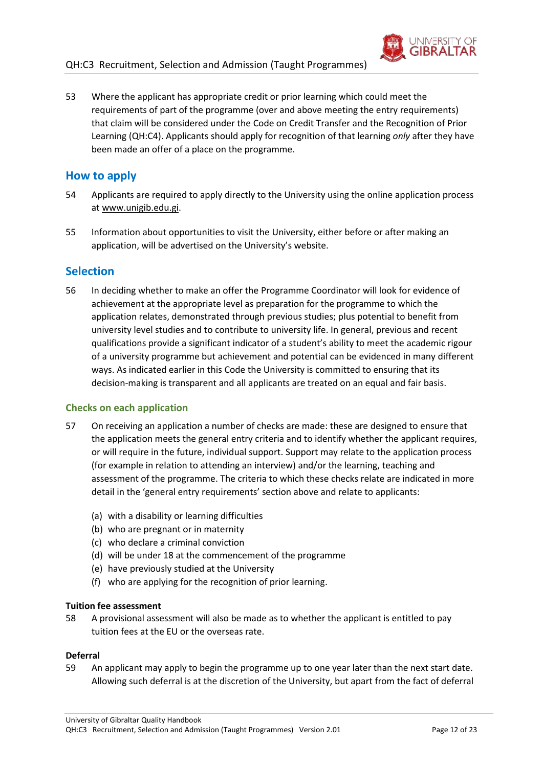

53 Where the applicant has appropriate credit or prior learning which could meet the requirements of part of the programme (over and above meeting the entry requirements) that claim will be considered under the Code on Credit Transfer and the Recognition of Prior Learning (QH:C4). Applicants should apply for recognition of that learning *only* after they have been made an offer of a place on the programme.

#### <span id="page-11-0"></span>**How to apply**

- 54 Applicants are required to apply directly to the University using the online application process at [www.unigib.edu.gi.](http://www.unigib.edu.gi/)
- 55 Information about opportunities to visit the University, either before or after making an application, will be advertised on the University's website.

### <span id="page-11-1"></span>**Selection**

56 In deciding whether to make an offer the Programme Coordinator will look for evidence of achievement at the appropriate level as preparation for the programme to which the application relates, demonstrated through previous studies; plus potential to benefit from university level studies and to contribute to university life. In general, previous and recent qualifications provide a significant indicator of a student's ability to meet the academic rigour of a university programme but achievement and potential can be evidenced in many different ways. As indicated earlier in this Code the University is committed to ensuring that its decision-making is transparent and all applicants are treated on an equal and fair basis.

#### **Checks on each application**

- 57 On receiving an application a number of checks are made: these are designed to ensure that the application meets the general entry criteria and to identify whether the applicant requires, or will require in the future, individual support. Support may relate to the application process (for example in relation to attending an interview) and/or the learning, teaching and assessment of the programme. The criteria to which these checks relate are indicated in more detail in the 'general entry requirements' section above and relate to applicants:
	- (a) with a disability or learning difficulties
	- (b) who are pregnant or in maternity
	- (c) who declare a criminal conviction
	- (d) will be under 18 at the commencement of the programme
	- (e) have previously studied at the University
	- (f) who are applying for the recognition of prior learning.

#### **Tuition fee assessment**

58 A provisional assessment will also be made as to whether the applicant is entitled to pay tuition fees at the EU or the overseas rate.

#### **Deferral**

59 An applicant may apply to begin the programme up to one year later than the next start date. Allowing such deferral is at the discretion of the University, but apart from the fact of deferral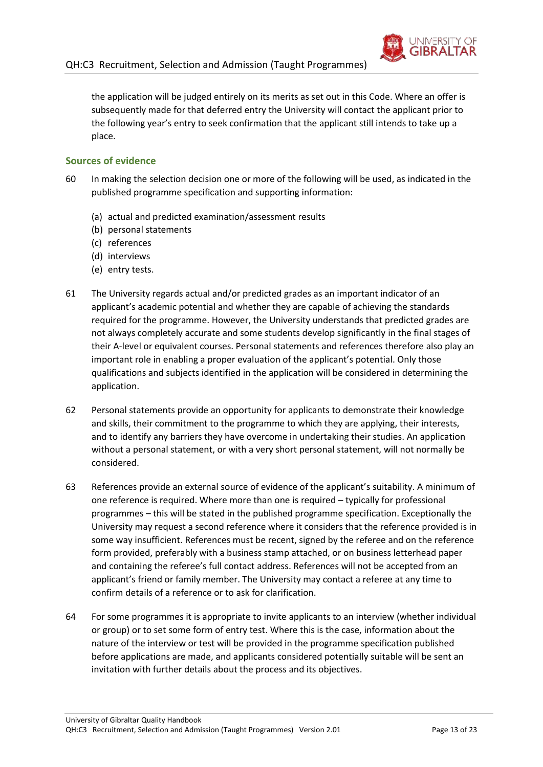

the application will be judged entirely on its merits as set out in this Code. Where an offer is subsequently made for that deferred entry the University will contact the applicant prior to the following year's entry to seek confirmation that the applicant still intends to take up a place.

#### **Sources of evidence**

- 60 In making the selection decision one or more of the following will be used, as indicated in the published programme specification and supporting information:
	- (a) actual and predicted examination/assessment results
	- (b) personal statements
	- (c) references
	- (d) interviews
	- (e) entry tests.
- 61 The University regards actual and/or predicted grades as an important indicator of an applicant's academic potential and whether they are capable of achieving the standards required for the programme. However, the University understands that predicted grades are not always completely accurate and some students develop significantly in the final stages of their A-level or equivalent courses. Personal statements and references therefore also play an important role in enabling a proper evaluation of the applicant's potential. Only those qualifications and subjects identified in the application will be considered in determining the application.
- 62 Personal statements provide an opportunity for applicants to demonstrate their knowledge and skills, their commitment to the programme to which they are applying, their interests, and to identify any barriers they have overcome in undertaking their studies. An application without a personal statement, or with a very short personal statement, will not normally be considered.
- 63 References provide an external source of evidence of the applicant's suitability. A minimum of one reference is required. Where more than one is required – typically for professional programmes – this will be stated in the published programme specification. Exceptionally the University may request a second reference where it considers that the reference provided is in some way insufficient. References must be recent, signed by the referee and on the reference form provided, preferably with a business stamp attached, or on business letterhead paper and containing the referee's full contact address. References will not be accepted from an applicant's friend or family member. The University may contact a referee at any time to confirm details of a reference or to ask for clarification.
- 64 For some programmes it is appropriate to invite applicants to an interview (whether individual or group) or to set some form of entry test. Where this is the case, information about the nature of the interview or test will be provided in the programme specification published before applications are made, and applicants considered potentially suitable will be sent an invitation with further details about the process and its objectives.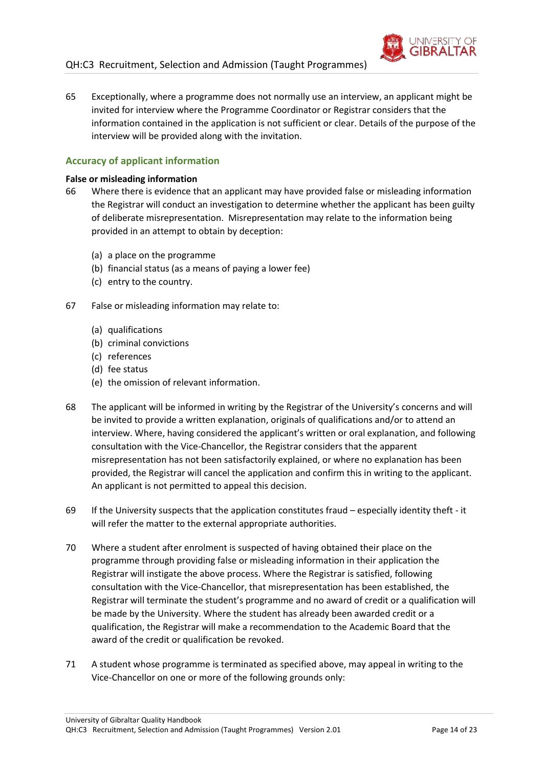

65 Exceptionally, where a programme does not normally use an interview, an applicant might be invited for interview where the Programme Coordinator or Registrar considers that the information contained in the application is not sufficient or clear. Details of the purpose of the interview will be provided along with the invitation.

#### **Accuracy of applicant information**

#### **False or misleading information**

- 66 Where there is evidence that an applicant may have provided false or misleading information the Registrar will conduct an investigation to determine whether the applicant has been guilty of deliberate misrepresentation. Misrepresentation may relate to the information being provided in an attempt to obtain by deception:
	- (a) a place on the programme
	- (b) financial status (as a means of paying a lower fee)
	- (c) entry to the country.
- 67 False or misleading information may relate to:
	- (a) qualifications
	- (b) criminal convictions
	- (c) references
	- (d) fee status
	- (e) the omission of relevant information.
- 68 The applicant will be informed in writing by the Registrar of the University's concerns and will be invited to provide a written explanation, originals of qualifications and/or to attend an interview. Where, having considered the applicant's written or oral explanation, and following consultation with the Vice-Chancellor, the Registrar considers that the apparent misrepresentation has not been satisfactorily explained, or where no explanation has been provided, the Registrar will cancel the application and confirm this in writing to the applicant. An applicant is not permitted to appeal this decision.
- 69 If the University suspects that the application constitutes fraud especially identity theft it will refer the matter to the external appropriate authorities.
- 70 Where a student after enrolment is suspected of having obtained their place on the programme through providing false or misleading information in their application the Registrar will instigate the above process. Where the Registrar is satisfied, following consultation with the Vice-Chancellor, that misrepresentation has been established, the Registrar will terminate the student's programme and no award of credit or a qualification will be made by the University. Where the student has already been awarded credit or a qualification, the Registrar will make a recommendation to the Academic Board that the award of the credit or qualification be revoked.
- 71 A student whose programme is terminated as specified above, may appeal in writing to the Vice-Chancellor on one or more of the following grounds only: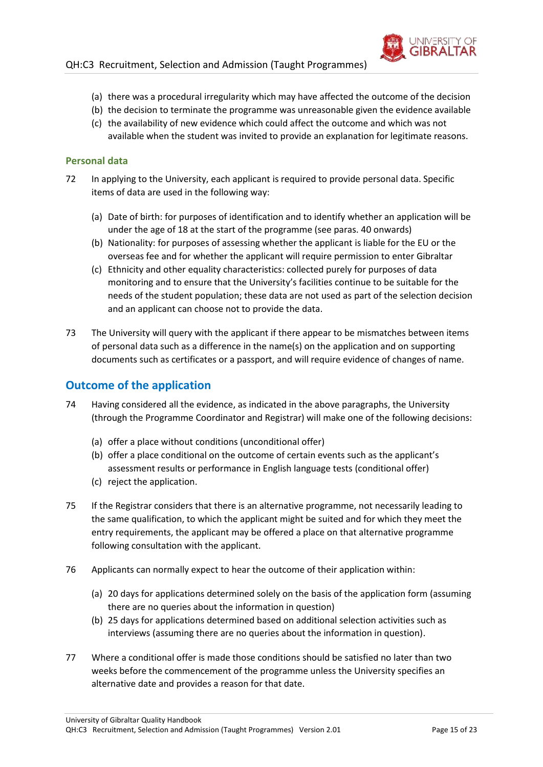

- (a) there was a procedural irregularity which may have affected the outcome of the decision
- (b) the decision to terminate the programme was unreasonable given the evidence available
- (c) the availability of new evidence which could affect the outcome and which was not available when the student was invited to provide an explanation for legitimate reasons.

#### **Personal data**

- 72 In applying to the University, each applicant is required to provide personal data. Specific items of data are used in the following way:
	- (a) Date of birth: for purposes of identification and to identify whether an application will be under the age of 18 at the start of the programme (see paras. [40](#page-9-0) onwards)
	- (b) Nationality: for purposes of assessing whether the applicant is liable for the EU or the overseas fee and for whether the applicant will require permission to enter Gibraltar
	- (c) Ethnicity and other equality characteristics: collected purely for purposes of data monitoring and to ensure that the University's facilities continue to be suitable for the needs of the student population; these data are not used as part of the selection decision and an applicant can choose not to provide the data.
- 73 The University will query with the applicant if there appear to be mismatches between items of personal data such as a difference in the name(s) on the application and on supporting documents such as certificates or a passport, and will require evidence of changes of name.

#### <span id="page-14-0"></span>**Outcome of the application**

- 74 Having considered all the evidence, as indicated in the above paragraphs, the University (through the Programme Coordinator and Registrar) will make one of the following decisions:
	- (a) offer a place without conditions (unconditional offer)
	- (b) offer a place conditional on the outcome of certain events such as the applicant's assessment results or performance in English language tests (conditional offer)
	- (c) reject the application.
- 75 If the Registrar considers that there is an alternative programme, not necessarily leading to the same qualification, to which the applicant might be suited and for which they meet the entry requirements, the applicant may be offered a place on that alternative programme following consultation with the applicant.
- 76 Applicants can normally expect to hear the outcome of their application within:
	- (a) 20 days for applications determined solely on the basis of the application form (assuming there are no queries about the information in question)
	- (b) 25 days for applications determined based on additional selection activities such as interviews (assuming there are no queries about the information in question).
- 77 Where a conditional offer is made those conditions should be satisfied no later than two weeks before the commencement of the programme unless the University specifies an alternative date and provides a reason for that date.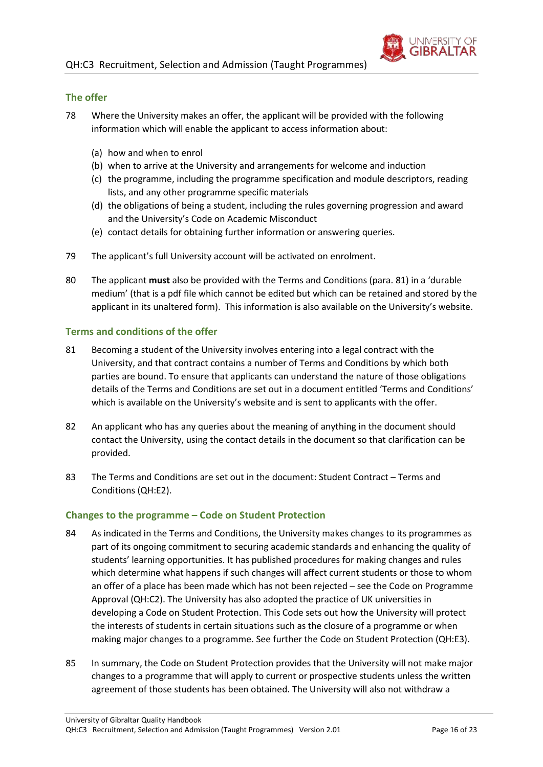

#### **The offer**

- 78 Where the University makes an offer, the applicant will be provided with the following information which will enable the applicant to access information about:
	- (a) how and when to enrol
	- (b) when to arrive at the University and arrangements for welcome and induction
	- (c) the programme, including the programme specification and module descriptors, reading lists, and any other programme specific materials
	- (d) the obligations of being a student, including the rules governing progression and award and the University's Code on Academic Misconduct
	- (e) contact details for obtaining further information or answering queries.
- 79 The applicant's full University account will be activated on enrolment.
- 80 The applicant **must** also be provided with the Terms and Conditions (para[. 81](#page-15-0)) in a 'durable medium' (that is a pdf file which cannot be edited but which can be retained and stored by the applicant in its unaltered form). This information is also available on the University's website.

#### **Terms and conditions of the offer**

- <span id="page-15-0"></span>81 Becoming a student of the University involves entering into a legal contract with the University, and that contract contains a number of Terms and Conditions by which both parties are bound. To ensure that applicants can understand the nature of those obligations details of the Terms and Conditions are set out in a document entitled 'Terms and Conditions' which is available on the University's website and is sent to applicants with the offer.
- 82 An applicant who has any queries about the meaning of anything in the document should contact the University, using the contact details in the document so that clarification can be provided.
- 83 The Terms and Conditions are set out in the document: Student Contract Terms and Conditions (QH:E2).

#### **Changes to the programme – Code on Student Protection**

- 84 As indicated in the Terms and Conditions, the University makes changes to its programmes as part of its ongoing commitment to securing academic standards and enhancing the quality of students' learning opportunities. It has published procedures for making changes and rules which determine what happens if such changes will affect current students or those to whom an offer of a place has been made which has not been rejected – see the Code on Programme Approval (QH:C2). The University has also adopted the practice of UK universities in developing a Code on Student Protection. This Code sets out how the University will protect the interests of students in certain situations such as the closure of a programme or when making major changes to a programme. See further the Code on Student Protection (QH:E3).
- 85 In summary, the Code on Student Protection provides that the University will not make major changes to a programme that will apply to current or prospective students unless the written agreement of those students has been obtained. The University will also not withdraw a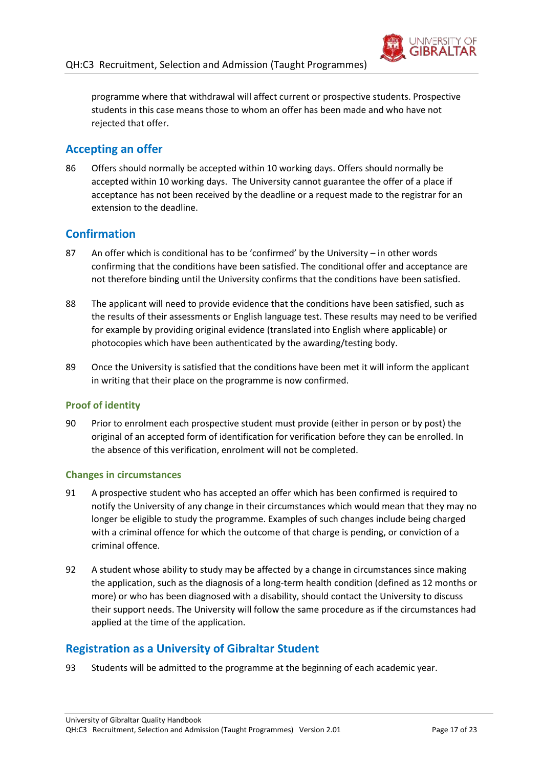

programme where that withdrawal will affect current or prospective students. Prospective students in this case means those to whom an offer has been made and who have not rejected that offer.

## <span id="page-16-0"></span>**Accepting an offer**

86 Offers should normally be accepted within 10 working days. Offers should normally be accepted within 10 working days. The University cannot guarantee the offer of a place if acceptance has not been received by the deadline or a request made to the registrar for an extension to the deadline.

## <span id="page-16-1"></span>**Confirmation**

- 87 An offer which is conditional has to be 'confirmed' by the University in other words confirming that the conditions have been satisfied. The conditional offer and acceptance are not therefore binding until the University confirms that the conditions have been satisfied.
- 88 The applicant will need to provide evidence that the conditions have been satisfied, such as the results of their assessments or English language test. These results may need to be verified for example by providing original evidence (translated into English where applicable) or photocopies which have been authenticated by the awarding/testing body.
- 89 Once the University is satisfied that the conditions have been met it will inform the applicant in writing that their place on the programme is now confirmed.

#### **Proof of identity**

90 Prior to enrolment each prospective student must provide (either in person or by post) the original of an accepted form of identification for verification before they can be enrolled. In the absence of this verification, enrolment will not be completed.

#### **Changes in circumstances**

- 91 A prospective student who has accepted an offer which has been confirmed is required to notify the University of any change in their circumstances which would mean that they may no longer be eligible to study the programme. Examples of such changes include being charged with a criminal offence for which the outcome of that charge is pending, or conviction of a criminal offence.
- 92 A student whose ability to study may be affected by a change in circumstances since making the application, such as the diagnosis of a long-term health condition (defined as 12 months or more) or who has been diagnosed with a disability, should contact the University to discuss their support needs. The University will follow the same procedure as if the circumstances had applied at the time of the application.

## <span id="page-16-2"></span>**Registration as a University of Gibraltar Student**

93 Students will be admitted to the programme at the beginning of each academic year.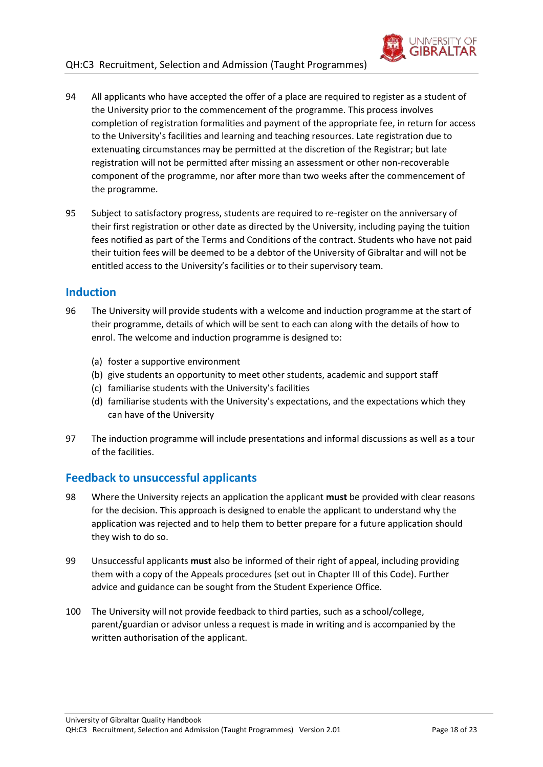

95 Subject to satisfactory progress, students are required to re-register on the anniversary of their first registration or other date as directed by the University, including paying the tuition fees notified as part of the Terms and Conditions of the contract. Students who have not paid their tuition fees will be deemed to be a debtor of the University of Gibraltar and will not be entitled access to the University's facilities or to their supervisory team.

#### <span id="page-17-0"></span>**Induction**

- 96 The University will provide students with a welcome and induction programme at the start of their programme, details of which will be sent to each can along with the details of how to enrol. The welcome and induction programme is designed to:
	- (a) foster a supportive environment
	- (b) give students an opportunity to meet other students, academic and support staff
	- (c) familiarise students with the University's facilities
	- (d) familiarise students with the University's expectations, and the expectations which they can have of the University
- 97 The induction programme will include presentations and informal discussions as well as a tour of the facilities.

## <span id="page-17-1"></span>**Feedback to unsuccessful applicants**

- 98 Where the University rejects an application the applicant **must** be provided with clear reasons for the decision. This approach is designed to enable the applicant to understand why the application was rejected and to help them to better prepare for a future application should they wish to do so.
- 99 Unsuccessful applicants **must** also be informed of their right of appeal, including providing them with a copy of the Appeals procedures (set out in Chapter III of this Code). Further advice and guidance can be sought from the Student Experience Office.
- 100 The University will not provide feedback to third parties, such as a school/college, parent/guardian or advisor unless a request is made in writing and is accompanied by the written authorisation of the applicant.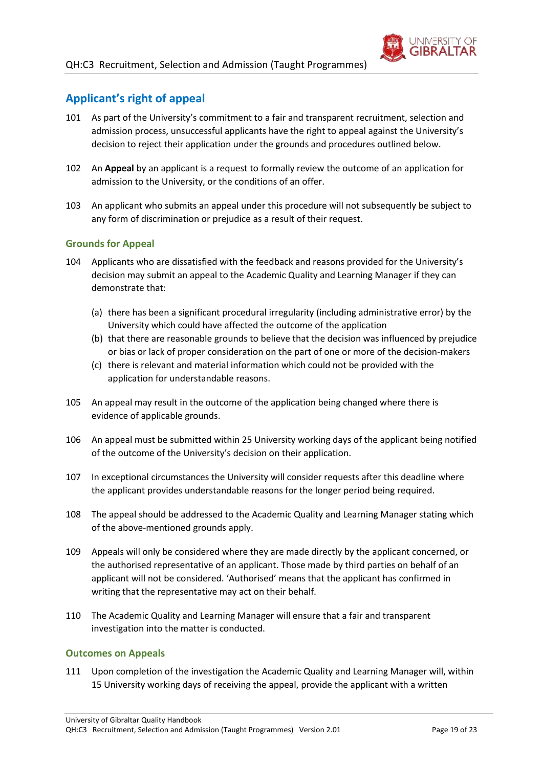

## <span id="page-18-0"></span>**Applicant's right of appeal**

- 101 As part of the University's commitment to a fair and transparent recruitment, selection and admission process, unsuccessful applicants have the right to appeal against the University's decision to reject their application under the grounds and procedures outlined below.
- 102 An **Appeal** by an applicant is a request to formally review the outcome of an application for admission to the University, or the conditions of an offer.
- 103 An applicant who submits an appeal under this procedure will not subsequently be subject to any form of discrimination or prejudice as a result of their request.

#### **Grounds for Appeal**

- 104 Applicants who are dissatisfied with the feedback and reasons provided for the University's decision may submit an appeal to the Academic Quality and Learning Manager if they can demonstrate that:
	- (a) there has been a significant procedural irregularity (including administrative error) by the University which could have affected the outcome of the application
	- (b) that there are reasonable grounds to believe that the decision was influenced by prejudice or bias or lack of proper consideration on the part of one or more of the decision-makers
	- (c) there is relevant and material information which could not be provided with the application for understandable reasons.
- 105 An appeal may result in the outcome of the application being changed where there is evidence of applicable grounds.
- 106 An appeal must be submitted within 25 University working days of the applicant being notified of the outcome of the University's decision on their application.
- 107 In exceptional circumstances the University will consider requests after this deadline where the applicant provides understandable reasons for the longer period being required.
- 108 The appeal should be addressed to the Academic Quality and Learning Manager stating which of the above-mentioned grounds apply.
- 109 Appeals will only be considered where they are made directly by the applicant concerned, or the authorised representative of an applicant. Those made by third parties on behalf of an applicant will not be considered. 'Authorised' means that the applicant has confirmed in writing that the representative may act on their behalf.
- 110 The Academic Quality and Learning Manager will ensure that a fair and transparent investigation into the matter is conducted.

#### **Outcomes on Appeals**

111 Upon completion of the investigation the Academic Quality and Learning Manager will, within 15 University working days of receiving the appeal, provide the applicant with a written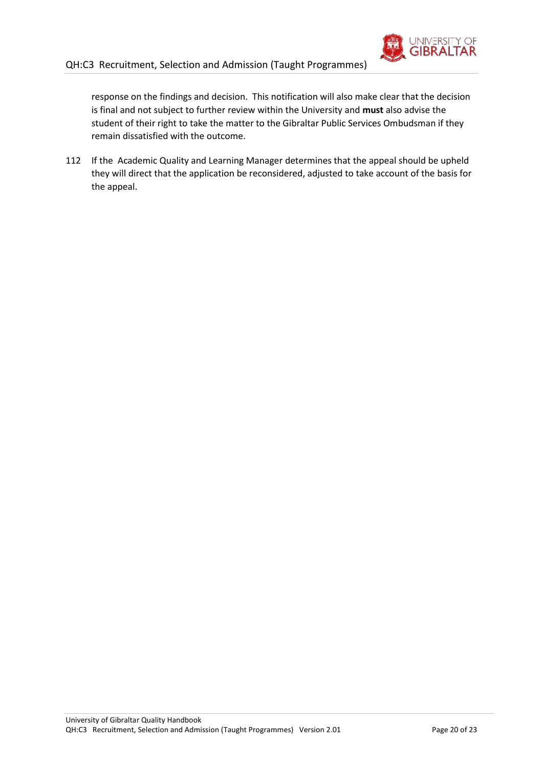

response on the findings and decision. This notification will also make clear that the decision is final and not subject to further review within the University and **must** also advise the student of their right to take the matter to the Gibraltar Public Services Ombudsman if they remain dissatisfied with the outcome.

112 If the Academic Quality and Learning Manager determines that the appeal should be upheld they will direct that the application be reconsidered, adjusted to take account of the basis for the appeal.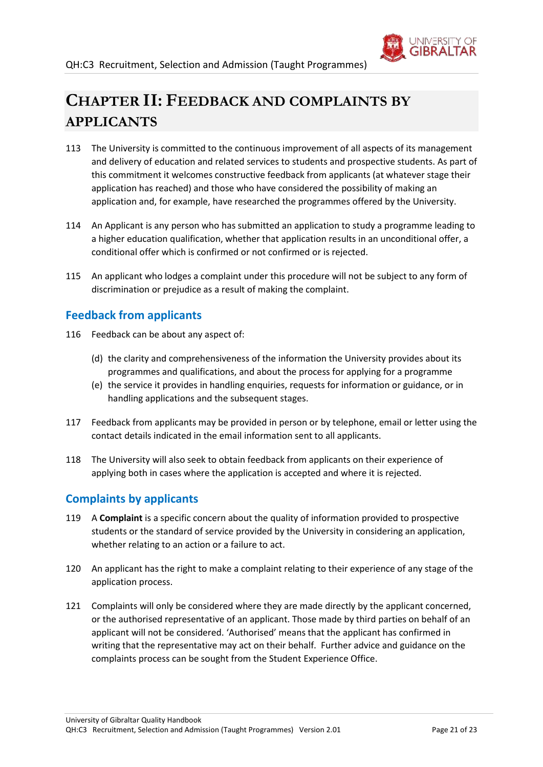

# <span id="page-20-0"></span>**CHAPTER II: FEEDBACK AND COMPLAINTS BY APPLICANTS**

- 113 The University is committed to the continuous improvement of all aspects of its management and delivery of education and related services to students and prospective students. As part of this commitment it welcomes constructive feedback from applicants (at whatever stage their application has reached) and those who have considered the possibility of making an application and, for example, have researched the programmes offered by the University.
- 114 An Applicant is any person who has submitted an application to study a programme leading to a higher education qualification, whether that application results in an unconditional offer, a conditional offer which is confirmed or not confirmed or is rejected.
- 115 An applicant who lodges a complaint under this procedure will not be subject to any form of discrimination or prejudice as a result of making the complaint.

## <span id="page-20-1"></span>**Feedback from applicants**

- 116 Feedback can be about any aspect of:
	- (d) the clarity and comprehensiveness of the information the University provides about its programmes and qualifications, and about the process for applying for a programme
	- (e) the service it provides in handling enquiries, requests for information or guidance, or in handling applications and the subsequent stages.
- 117 Feedback from applicants may be provided in person or by telephone, email or letter using the contact details indicated in the email information sent to all applicants.
- 118 The University will also seek to obtain feedback from applicants on their experience of applying both in cases where the application is accepted and where it is rejected.

## <span id="page-20-2"></span>**Complaints by applicants**

- 119 A **Complaint** is a specific concern about the quality of information provided to prospective students or the standard of service provided by the University in considering an application, whether relating to an action or a failure to act.
- 120 An applicant has the right to make a complaint relating to their experience of any stage of the application process.
- 121 Complaints will only be considered where they are made directly by the applicant concerned, or the authorised representative of an applicant. Those made by third parties on behalf of an applicant will not be considered. 'Authorised' means that the applicant has confirmed in writing that the representative may act on their behalf. Further advice and guidance on the complaints process can be sought from the Student Experience Office.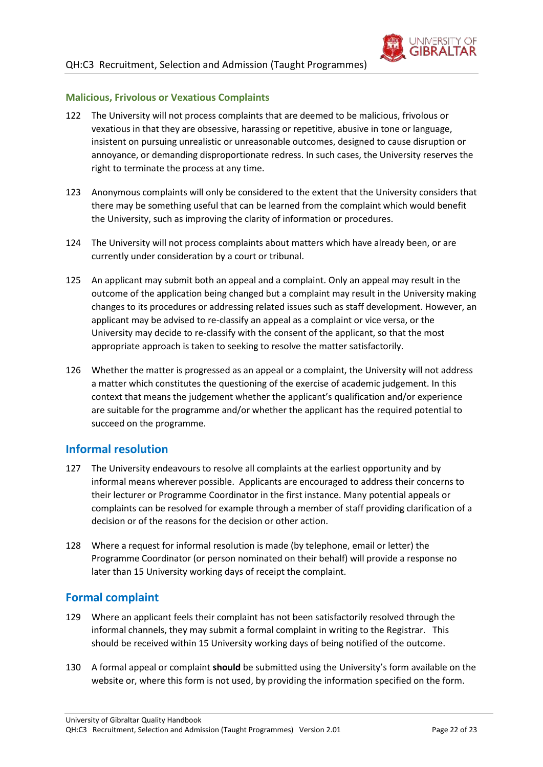

#### **Malicious, Frivolous or Vexatious Complaints**

- 122 The University will not process complaints that are deemed to be malicious, frivolous or vexatious in that they are obsessive, harassing or repetitive, abusive in tone or language, insistent on pursuing unrealistic or unreasonable outcomes, designed to cause disruption or annoyance, or demanding disproportionate redress. In such cases, the University reserves the right to terminate the process at any time.
- 123 Anonymous complaints will only be considered to the extent that the University considers that there may be something useful that can be learned from the complaint which would benefit the University, such as improving the clarity of information or procedures.
- 124 The University will not process complaints about matters which have already been, or are currently under consideration by a court or tribunal.
- 125 An applicant may submit both an appeal and a complaint. Only an appeal may result in the outcome of the application being changed but a complaint may result in the University making changes to its procedures or addressing related issues such as staff development. However, an applicant may be advised to re-classify an appeal as a complaint or vice versa, or the University may decide to re-classify with the consent of the applicant, so that the most appropriate approach is taken to seeking to resolve the matter satisfactorily.
- 126 Whether the matter is progressed as an appeal or a complaint, the University will not address a matter which constitutes the questioning of the exercise of academic judgement. In this context that means the judgement whether the applicant's qualification and/or experience are suitable for the programme and/or whether the applicant has the required potential to succeed on the programme.

#### <span id="page-21-0"></span>**Informal resolution**

- 127 The University endeavours to resolve all complaints at the earliest opportunity and by informal means wherever possible. Applicants are encouraged to address their concerns to their lecturer or Programme Coordinator in the first instance. Many potential appeals or complaints can be resolved for example through a member of staff providing clarification of a decision or of the reasons for the decision or other action.
- 128 Where a request for informal resolution is made (by telephone, email or letter) the Programme Coordinator (or person nominated on their behalf) will provide a response no later than 15 University working days of receipt the complaint.

#### <span id="page-21-1"></span>**Formal complaint**

- 129 Where an applicant feels their complaint has not been satisfactorily resolved through the informal channels, they may submit a formal complaint in writing to the Registrar. This should be received within 15 University working days of being notified of the outcome.
- 130 A formal appeal or complaint **should** be submitted using the University's form available on the website or, where this form is not used, by providing the information specified on the form.